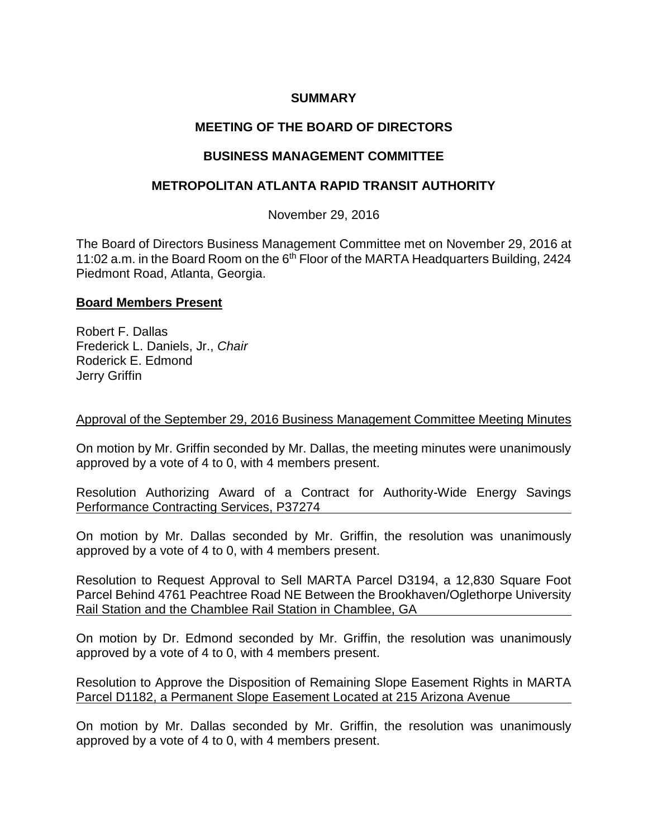# **SUMMARY**

# **MEETING OF THE BOARD OF DIRECTORS**

# **BUSINESS MANAGEMENT COMMITTEE**

# **METROPOLITAN ATLANTA RAPID TRANSIT AUTHORITY**

November 29, 2016

The Board of Directors Business Management Committee met on November 29, 2016 at 11:02 a.m. in the Board Room on the 6<sup>th</sup> Floor of the MARTA Headquarters Building, 2424 Piedmont Road, Atlanta, Georgia.

#### **Board Members Present**

Robert F. Dallas Frederick L. Daniels, Jr., *Chair* Roderick E. Edmond Jerry Griffin

#### Approval of the September 29, 2016 Business Management Committee Meeting Minutes

On motion by Mr. Griffin seconded by Mr. Dallas, the meeting minutes were unanimously approved by a vote of 4 to 0, with 4 members present.

Resolution Authorizing Award of a Contract for Authority-Wide Energy Savings Performance Contracting Services, P37274

On motion by Mr. Dallas seconded by Mr. Griffin, the resolution was unanimously approved by a vote of 4 to 0, with 4 members present.

Resolution to Request Approval to Sell MARTA Parcel D3194, a 12,830 Square Foot Parcel Behind 4761 Peachtree Road NE Between the Brookhaven/Oglethorpe University Rail Station and the Chamblee Rail Station in Chamblee, GA

On motion by Dr. Edmond seconded by Mr. Griffin, the resolution was unanimously approved by a vote of 4 to 0, with 4 members present.

Resolution to Approve the Disposition of Remaining Slope Easement Rights in MARTA Parcel D1182, a Permanent Slope Easement Located at 215 Arizona Avenue

On motion by Mr. Dallas seconded by Mr. Griffin, the resolution was unanimously approved by a vote of 4 to 0, with 4 members present.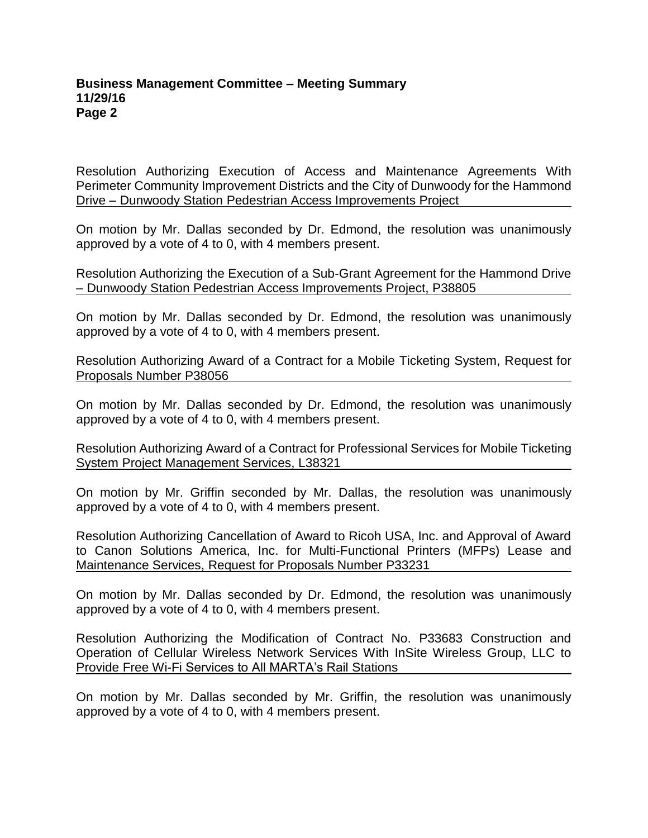#### **Business Management Committee – Meeting Summary 11/29/16 Page 2**

Resolution Authorizing Execution of Access and Maintenance Agreements With Perimeter Community Improvement Districts and the City of Dunwoody for the Hammond Drive – Dunwoody Station Pedestrian Access Improvements Project

On motion by Mr. Dallas seconded by Dr. Edmond, the resolution was unanimously approved by a vote of 4 to 0, with 4 members present.

Resolution Authorizing the Execution of a Sub-Grant Agreement for the Hammond Drive – Dunwoody Station Pedestrian Access Improvements Project, P38805

On motion by Mr. Dallas seconded by Dr. Edmond, the resolution was unanimously approved by a vote of 4 to 0, with 4 members present.

Resolution Authorizing Award of a Contract for a Mobile Ticketing System, Request for Proposals Number P38056

On motion by Mr. Dallas seconded by Dr. Edmond, the resolution was unanimously approved by a vote of 4 to 0, with 4 members present.

Resolution Authorizing Award of a Contract for Professional Services for Mobile Ticketing System Project Management Services, L38321

On motion by Mr. Griffin seconded by Mr. Dallas, the resolution was unanimously approved by a vote of 4 to 0, with 4 members present.

Resolution Authorizing Cancellation of Award to Ricoh USA, Inc. and Approval of Award to Canon Solutions America, Inc. for Multi-Functional Printers (MFPs) Lease and Maintenance Services, Request for Proposals Number P33231

On motion by Mr. Dallas seconded by Dr. Edmond, the resolution was unanimously approved by a vote of 4 to 0, with 4 members present.

Resolution Authorizing the Modification of Contract No. P33683 Construction and Operation of Cellular Wireless Network Services With InSite Wireless Group, LLC to Provide Free Wi-Fi Services to All MARTA's Rail Stations

On motion by Mr. Dallas seconded by Mr. Griffin, the resolution was unanimously approved by a vote of 4 to 0, with 4 members present.